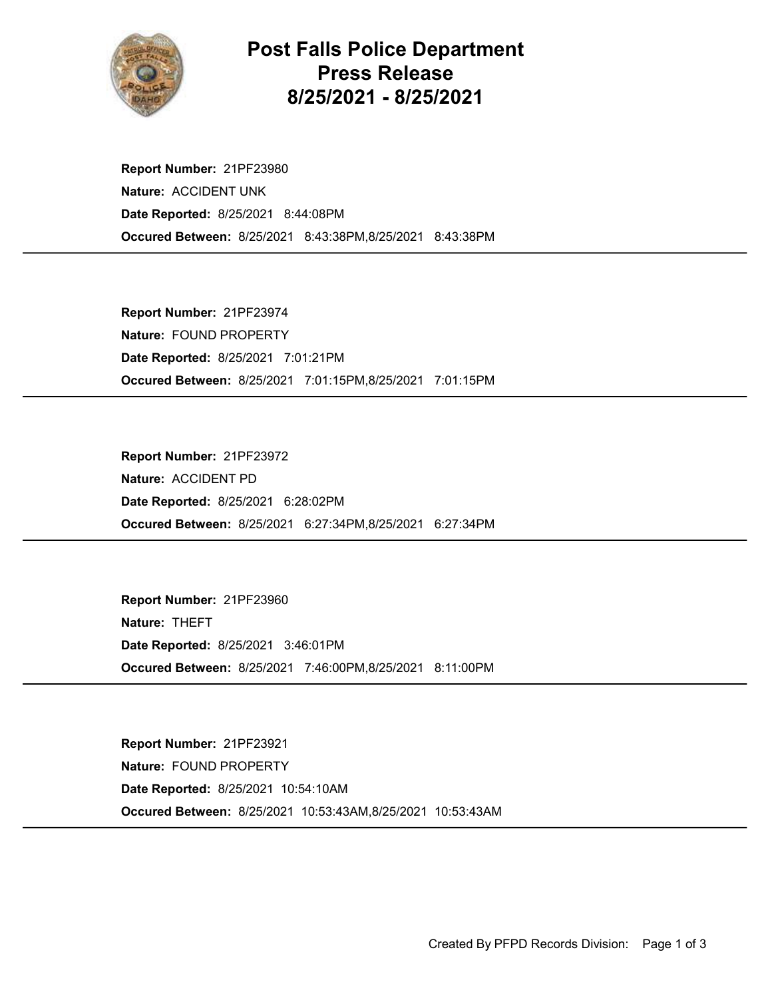

## Post Falls Police Department Press Release 8/25/2021 - 8/25/2021

Occured Between: 8/25/2021 8:43:38PM,8/25/2021 8:43:38PM Report Number: 21PF23980 Nature: ACCIDENT UNK Date Reported: 8/25/2021 8:44:08PM

Occured Between: 8/25/2021 7:01:15PM,8/25/2021 7:01:15PM Report Number: 21PF23974 Nature: FOUND PROPERTY Date Reported: 8/25/2021 7:01:21PM

Occured Between: 8/25/2021 6:27:34PM,8/25/2021 6:27:34PM Report Number: 21PF23972 Nature: ACCIDENT PD Date Reported: 8/25/2021 6:28:02PM

Occured Between: 8/25/2021 7:46:00PM,8/25/2021 8:11:00PM Report Number: 21PF23960 Nature: THEFT Date Reported: 8/25/2021 3:46:01PM

Occured Between: 8/25/2021 10:53:43AM,8/25/2021 10:53:43AM Report Number: 21PF23921 Nature: FOUND PROPERTY Date Reported: 8/25/2021 10:54:10AM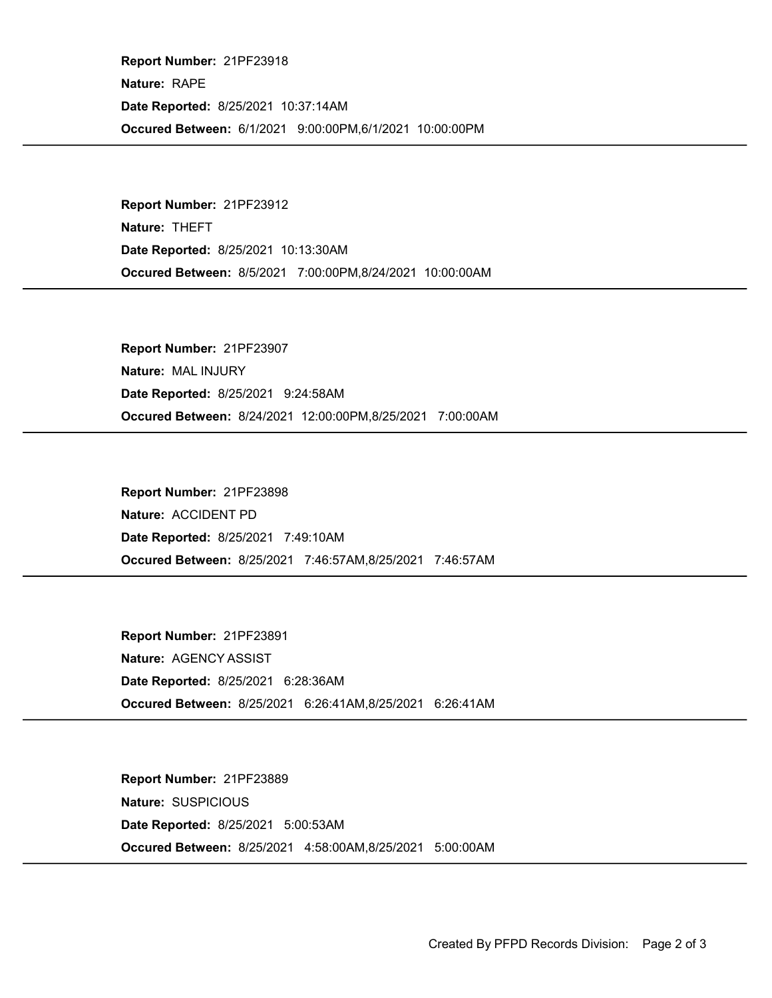Occured Between: 6/1/2021 9:00:00PM,6/1/2021 10:00:00PM Report Number: 21PF23918 Nature: RAPE Date Reported: 8/25/2021 10:37:14AM

Occured Between: 8/5/2021 7:00:00PM,8/24/2021 10:00:00AM Report Number: 21PF23912 Nature: THEFT Date Reported: 8/25/2021 10:13:30AM

Occured Between: 8/24/2021 12:00:00PM,8/25/2021 7:00:00AM Report Number: 21PF23907 Nature: MAL INJURY Date Reported: 8/25/2021 9:24:58AM

Occured Between: 8/25/2021 7:46:57AM,8/25/2021 7:46:57AM Report Number: 21PF23898 Nature: ACCIDENT PD Date Reported: 8/25/2021 7:49:10AM

Occured Between: 8/25/2021 6:26:41AM,8/25/2021 6:26:41AM Report Number: 21PF23891 Nature: AGENCY ASSIST Date Reported: 8/25/2021 6:28:36AM

Occured Between: 8/25/2021 4:58:00AM,8/25/2021 5:00:00AM Report Number: 21PF23889 Nature: SUSPICIOUS Date Reported: 8/25/2021 5:00:53AM